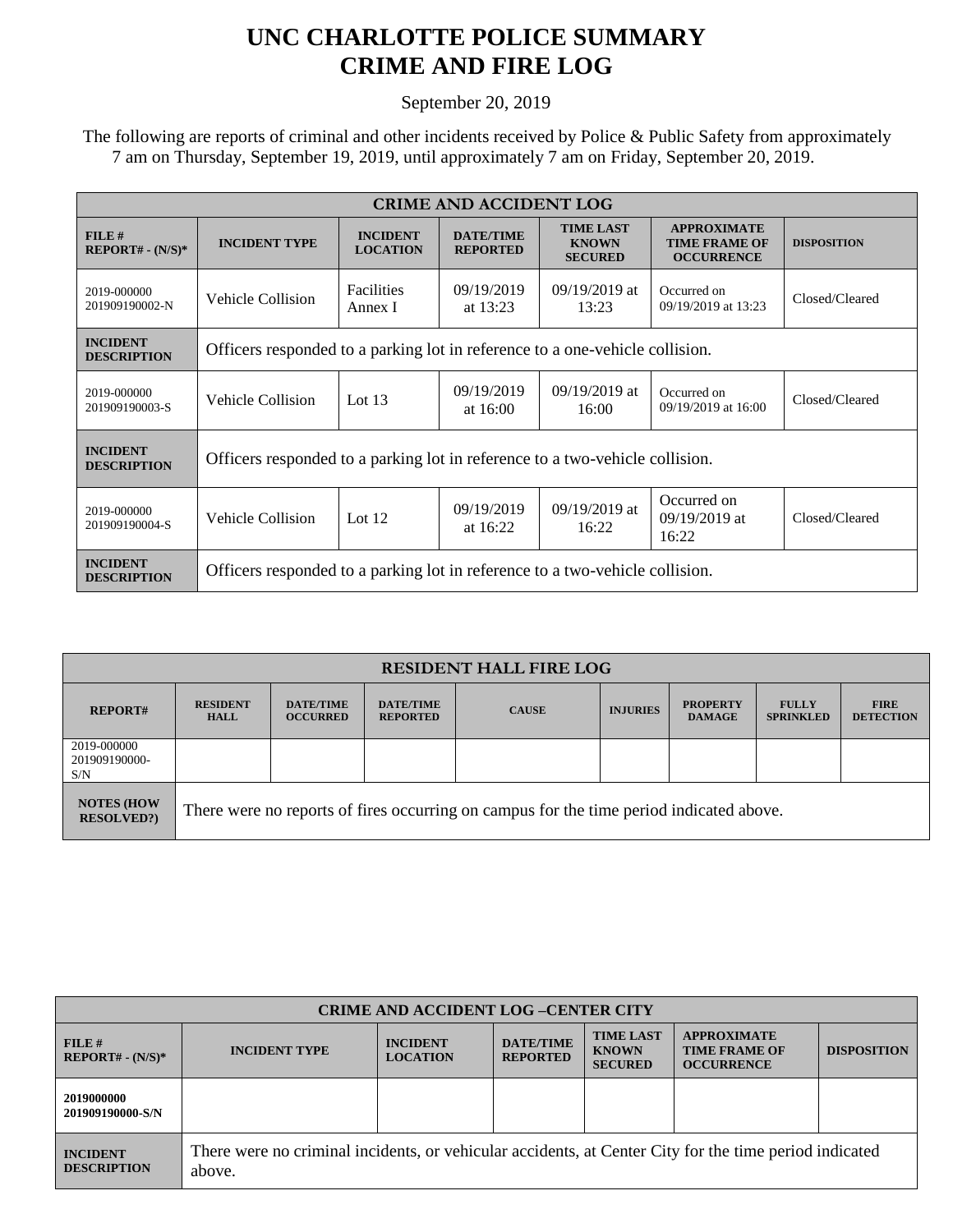## **UNC CHARLOTTE POLICE SUMMARY CRIME AND FIRE LOG**

September 20, 2019

 The following are reports of criminal and other incidents received by Police & Public Safety from approximately 7 am on Thursday, September 19, 2019, until approximately 7 am on Friday, September 20, 2019.

| <b>CRIME AND ACCIDENT LOG</b>         |                                                                              |                                    |                                     |                                                    |                                                                 |                    |  |  |
|---------------------------------------|------------------------------------------------------------------------------|------------------------------------|-------------------------------------|----------------------------------------------------|-----------------------------------------------------------------|--------------------|--|--|
| FILE#<br>$REPORT# - (N/S)*$           | <b>INCIDENT TYPE</b>                                                         | <b>INCIDENT</b><br><b>LOCATION</b> | <b>DATE/TIME</b><br><b>REPORTED</b> | <b>TIME LAST</b><br><b>KNOWN</b><br><b>SECURED</b> | <b>APPROXIMATE</b><br><b>TIME FRAME OF</b><br><b>OCCURRENCE</b> | <b>DISPOSITION</b> |  |  |
| 2019-000000<br>201909190002-N         | Vehicle Collision                                                            | <b>Facilities</b><br>Annex I       | 09/19/2019<br>at $13:23$            | $09/19/2019$ at<br>13:23                           | Occurred on<br>09/19/2019 at 13:23                              | Closed/Cleared     |  |  |
| <b>INCIDENT</b><br><b>DESCRIPTION</b> | Officers responded to a parking lot in reference to a one-vehicle collision. |                                    |                                     |                                                    |                                                                 |                    |  |  |
| 2019-000000<br>201909190003-S         | Vehicle Collision                                                            | Lot $13$                           | 09/19/2019<br>at $16:00$            | 09/19/2019 at<br>16:00                             | Occurred on<br>09/19/2019 at 16:00                              | Closed/Cleared     |  |  |
| <b>INCIDENT</b><br><b>DESCRIPTION</b> | Officers responded to a parking lot in reference to a two-vehicle collision. |                                    |                                     |                                                    |                                                                 |                    |  |  |
| 2019-000000<br>201909190004-S         | Vehicle Collision                                                            | Lot $12$                           | 09/19/2019<br>at $16:22$            | $09/19/2019$ at<br>16:22                           | Occurred on<br>$09/19/2019$ at<br>16:22                         | Closed/Cleared     |  |  |
| <b>INCIDENT</b><br><b>DESCRIPTION</b> | Officers responded to a parking lot in reference to a two-vehicle collision. |                                    |                                     |                                                    |                                                                 |                    |  |  |

| <b>RESIDENT HALL FIRE LOG</b>         |                                                                                         |                                     |                                     |              |                 |                                  |                                  |                                 |
|---------------------------------------|-----------------------------------------------------------------------------------------|-------------------------------------|-------------------------------------|--------------|-----------------|----------------------------------|----------------------------------|---------------------------------|
| <b>REPORT#</b>                        | <b>RESIDENT</b><br><b>HALL</b>                                                          | <b>DATE/TIME</b><br><b>OCCURRED</b> | <b>DATE/TIME</b><br><b>REPORTED</b> | <b>CAUSE</b> | <b>INJURIES</b> | <b>PROPERTY</b><br><b>DAMAGE</b> | <b>FULLY</b><br><b>SPRINKLED</b> | <b>FIRE</b><br><b>DETECTION</b> |
| 2019-000000<br>201909190000-<br>S/N   |                                                                                         |                                     |                                     |              |                 |                                  |                                  |                                 |
| <b>NOTES (HOW</b><br><b>RESOLVED?</b> | There were no reports of fires occurring on campus for the time period indicated above. |                                     |                                     |              |                 |                                  |                                  |                                 |

| <b>CRIME AND ACCIDENT LOG-CENTER CITY</b> |                                                                                                                  |                                    |                                     |                                                    |                                                                 |                    |  |
|-------------------------------------------|------------------------------------------------------------------------------------------------------------------|------------------------------------|-------------------------------------|----------------------------------------------------|-----------------------------------------------------------------|--------------------|--|
| FILE#<br>$REPORT# - (N/S)*$               | <b>INCIDENT TYPE</b>                                                                                             | <b>INCIDENT</b><br><b>LOCATION</b> | <b>DATE/TIME</b><br><b>REPORTED</b> | <b>TIME LAST</b><br><b>KNOWN</b><br><b>SECURED</b> | <b>APPROXIMATE</b><br><b>TIME FRAME OF</b><br><b>OCCURRENCE</b> | <b>DISPOSITION</b> |  |
| 2019000000<br>201909190000-S/N            |                                                                                                                  |                                    |                                     |                                                    |                                                                 |                    |  |
| <b>INCIDENT</b><br><b>DESCRIPTION</b>     | There were no criminal incidents, or vehicular accidents, at Center City for the time period indicated<br>above. |                                    |                                     |                                                    |                                                                 |                    |  |